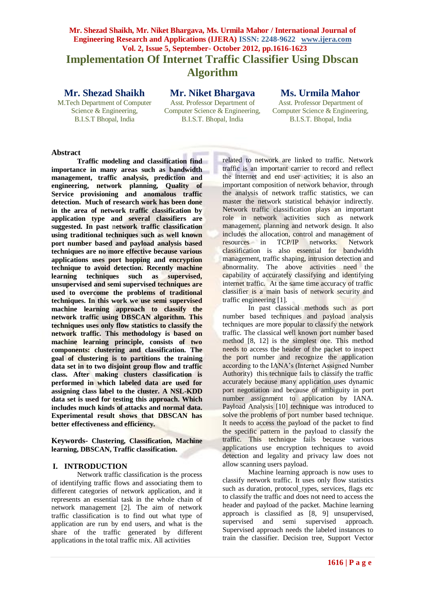# **Mr. Shezad Shaikh, Mr. Niket Bhargava, Ms. Urmila Mahor / International Journal of Engineering Research and Applications (IJERA) ISSN: 2248-9622 www.ijera.com Vol. 2, Issue 5, September- October 2012, pp.1616-1623 Implementation Of Internet Traffic Classifier Using Dbscan Algorithm**

## **Mr. Shezad Shaikh**

M.Tech Department of Computer Science & Engineering, B.I.S.T Bhopal, India

## **Mr. Niket Bhargava**

Asst. Professor Department of Computer Science & Engineering, B.I.S.T. Bhopal, India

## **Ms. Urmila Mahor**

Asst. Professor Department of Computer Science & Engineering, B.I.S.T. Bhopal, India

## **Abstract**

**Traffic modeling and classification find importance in many areas such as bandwidth management, traffic analysis, prediction and engineering, network planning, Quality of Service provisioning and anomalous traffic detection. Much of research work has been done in the area of network traffic classification by application type and several classifiers are suggested. In past** n**etwork traffic classification using traditional techniques such as well known port number based and payload analysis based techniques are no more effective because various applications uses port hopping and encryption technique to avoid detection. Recently machine learning techniques such as supervised, unsupervised and semi supervised techniques are used to overcome the problems of traditional techniques. In this work we use semi supervised machine learning approach to classify the network traffic using DBSCAN algorithm. This techniques uses only flow statistics to classify the network traffic. This methodology is based on machine learning principle, consists of two components: clustering and classification. The goal of clustering is to partitions the training data set in to two disjoint group flow and traffic class. After making clusters classification is performed in which labeled data are used for assigning class label to the cluster. A NSL-KDD data set is used for testing this approach. Which includes much kinds of attacks and normal data. Experimental result shows that DBSCAN has better effectiveness and efficiency.**

**Keywords- Clustering, Classification, Machine learning, DBSCAN, Traffic classification.**

#### **I. INTRODUCTION**

Network traffic classification is the process of identifying traffic flows and associating them to different categories of network application, and it represents an essential task in the whole chain of network management [2]. The aim of network traffic classification is to find out what type of application are run by end users, and what is the share of the traffic generated by different applications in the total traffic mix. All activities

related to network are linked to traffic. Network traffic is an important carrier to record and reflect the internet and end user activities; it is also an important composition of network behavior, through the analysis of network traffic statistics, we can master the network statistical behavior indirectly. Network traffic classification plays an important role in network activities such as network management, planning and network design. It also includes the allocation, control and management of resources in TCP/IP networks. Network classification is also essential for bandwidth management, traffic shaping, intrusion detection and abnormality. The above activities need the capability of accurately classifying and identifying internet traffic. At the same time accuracy of traffic classifier is a main basis of network security and traffic engineering [1].

In past classical methods such as port number based techniques and payload analysis techniques are more popular to classify the network traffic. The classical well known port number based method [8, 12] is the simplest one. This method needs to access the header of the packet to inspect the port number and recognize the application according to the IANA's (Internet Assigned Number Authority) this technique fails to classify the traffic accurately because many application uses dynamic port negotiation and because of ambiguity in port number assignment to application by IANA. Payload Analysis [10] technique was introduced to solve the problems of port number based technique. It needs to access the payload of the packet to find the specific pattern in the payload to classify the traffic. This technique fails because various applications use encryption techniques to avoid detection and legality and privacy law does not allow scanning users payload.

Machine learning approach is now uses to classify network traffic. It uses only flow statistics such as duration, protocol types, services, flags etc to classify the traffic and does not need to access the header and payload of the packet. Machine learning approach is classified as [8, 9] unsupervised, supervised and semi supervised approach. Supervised approach needs the labeled instances to train the classifier. Decision tree, Support Vector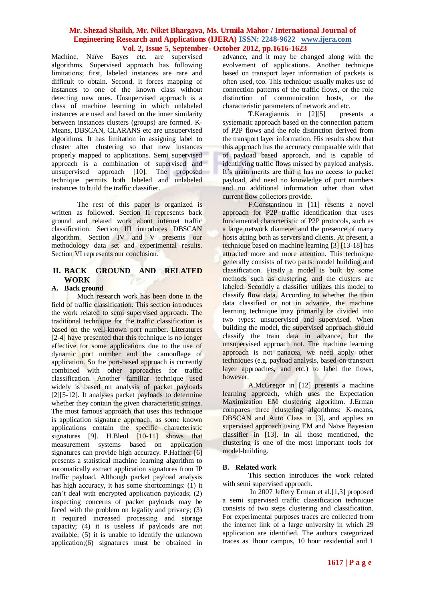Machine, Naïve Bayes etc. are supervised algorithms. Supervised approach has following limitations; first, labeled instances are rare and difficult to obtain. Second, it forces mapping of instances to one of the known class without detecting new ones. Unsupervised approach is a class of machine learning in which unlabeled instances are used and based on the inner similarity between instances clusters (groups) are formed. K-Means, DBSCAN, CLARANS etc are unsupervised algorithms. It has limitation in assigning label to cluster after clustering so that new instances properly mapped to applications. Semi supervised approach is a combination of supervised and unsupervised approach [10]. The proposed technique permits both labeled and unlabeled instances to build the traffic classifier.

The rest of this paper is organized is written as followed. Section II represents back ground and related work about internet traffic classification. Section III introduces DBSCAN algorithm. Section IV and V presents our methodology data set and experimental results. Section VI represents our conclusion.

## **II. BACK GROUND AND RELATED WORK**

#### **A. Back ground**

Much research work has been done in the field of traffic classification. This section introduces the work related to semi supervised approach. The traditional technique for the traffic classification is based on the well-known port number. Literatures [2-4] have presented that this technique is no longer effective for some applications due to the use of dynamic port number and the camouflage of application. So the port-based approach is currently combined with other approaches for traffic classification. Another familiar technique used widely is based on analysis of packet payloads [2][5-12]. It analyses packet payloads to determine whether they contain the given characteristic strings. The most famous approach that uses this technique is application signature approach, as some known applications contain the specific characteristic signatures [9]. H.Bleul [10-11] shows that measurement systems based on application signatures can provide high accuracy. P. Haffner [6] presents a statistical machine learning algorithm to automatically extract application signatures from IP traffic payload. Although packet payload analysis has high accuracy, it has some shortcomings: (1) it can't deal with encrypted application payloads; (2) inspecting concerns of packet payloads may be faced with the problem on legality and privacy; (3) it required increased processing and storage capacity; (4) it is useless if payloads are not available; (5) it is unable to identify the unknown application;(6) signatures must be obtained in

advance, and it may be changed along with the evolvement of applications. Another technique based on transport layer information of packets is often used, too. This technique usually makes use of connection patterns of the traffic flows, or the role distinction of communication hosts, or the characteristic parameters of network and etc.

T. Karagiannis in [2][5] presents a systematic approach based on the connection pattern of P2P flows and the role distinction derived from the transport layer information. His results show that this approach has the accuracy comparable with that of payload based approach, and is capable of identifying traffic flows missed by payload analysis. It's main merits are that it has no access to packet payload, and need no knowledge of port numbers and no additional information other than what current flow collectors provide.

F.Constantinou in [11] resents a novel approach for P2P traffic identification that uses fundamental characteristic of P2P protocols, such as a large network diameter and the presence of many hosts acting both as servers and clients. At present, a technique based on machine learning [3] [13-18] has attracted more and more attention. This technique generally consists of two parts: model building and classification. Firstly a model is built by some methods such as clustering, and the clusters are labeled. Secondly a classifier utilizes this model to classify flow data. According to whether the train data classified or not in advance, the machine learning technique may primarily be divided into two types: unsupervised and supervised. When building the model, the supervised approach should classify the train data in advance, but the unsupervised approach not. The machine learning approach is not panacea, we need apply other techniques (e.g. payload analysis, based-on transport layer approaches, and etc.) to label the flows, however.

A.McGregor in [12] presents a machine learning approach, which uses the Expectation Maximization EM clustering algorithm. J.Erman compares three clustering algorithms: K-means, DBSCAN and Auto Class in [3], and applies an supervised approach using EM and Naïve Bayesian classifier in [13]. In all those mentioned, the clustering is one of the most important tools for model-building.

## **B. Related work**

This section introduces the work related with semi supervised approach.

In 2007 Jeffery Erman et al.[1,3] proposed a semi supervised traffic classification technique consists of two steps clustering and classification. For experimental purposes traces are collected from the internet link of a large university in which 29 application are identified. The authors categorized traces as 1hour campus, 10 hour residential and 1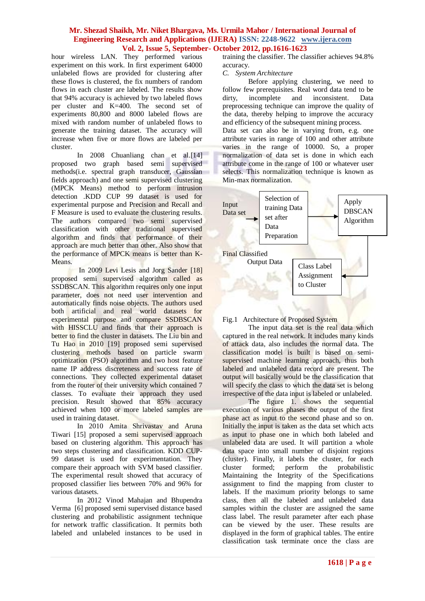hour wireless LAN. They performed various experiment on this work. In first experiment 64000 unlabeled flows are provided for clustering after these flows is clustered, the fix numbers of random flows in each cluster are labeled. The results show that 94% accuracy is achieved by two labeled flows per cluster and K=400. The second set of experiments 80,800 and 8000 labeled flows are mixed with random number of unlabeled flows to generate the training dataset. The accuracy will increase when five or more flows are labeled per cluster.

In 2008 Chuanliang chan et al.[14] proposed two graph based semi supervised methods(i.e. spectral graph transducer, Gaussian fields approach) and one semi supervised clustering (MPCK Means) method to perform intrusion detection .KDD CUP 99 dataset is used for experimental purpose and Precision and Recall and F Measure is used to evaluate the clustering results. The authors compared two semi supervised classification with other traditional supervised algorithm and finds that performance of their approach are much better than other. Also show that the performance of MPCK means is better than K-Means.

In 2009 Levi Lesis and Jorg Sander [18] proposed semi supervised algorithm called as SSDBSCAN. This algorithm requires only one input parameter, does not need user intervention and automatically finds noise objects. The authors used both artificial and real world datasets for experimental purpose and compare SSDBSCAN with HISSCLU and finds that their approach is better to find the cluster in datasets. The Liu bin and Tu Hao in 2010 [19] proposed semi supervised clustering methods based on particle swarm optimization (PSO) algorithm and two host feature name IP address discreteness and success rate of connections. They collected experimental dataset from the router of their university which contained 7 classes. To evaluate their approach they used precision. Result showed that 85% accuracy achieved when 100 or more labeled samples are used in training dataset.

In 2010 Amita Shrivastav and Aruna Tiwari [15] proposed a semi supervised approach based on clustering algorithm. This approach has two steps clustering and classification. KDD CUP-99 dataset is used for experimentation. They compare their approach with SVM based classifier. The experimental result showed that accuracy of proposed classifier lies between 70% and 96% for various datasets.

In 2012 Vinod Mahajan and Bhupendra Verma [6] proposed semi supervised distance based clustering and probabilistic assignment technique for network traffic classification. It permits both labeled and unlabeled instances to be used in training the classifier. The classifier achieves 94.8% accuracy.

*C. System Architecture*

Before applying clustering, we need to follow few prerequisites. Real word data tend to be dirty, incomplete and inconsistent. Data preprocessing technique can improve the quality of the data, thereby helping to improve the accuracy and efficiency of the subsequent mining process.

Data set can also be in varying from, e.g. one attribute varies in range of 100 and other attribute varies in the range of 10000. So, a proper normalization of data set is done in which each attribute come in the range of 100 or whatever user selects. This normalization technique is known as Min-max normalization.





The input data set is the real data which captured in the real network. It includes many kinds of attack data, also includes the normal data. The classification model is built is based on semisupervised machine learning approach, thus both labeled and unlabeled data record are present. The output will basically would be the classification that will specify the class to which the data set is belong irrespective of the data input is labeled or unlabeled.

The figure 1. shows the sequential execution of various phases the output of the first phase act as input to the second phase and so on. Initially the input is taken as the data set which acts as input to phase one in which both labeled and unlabeled data are used. It will partition a whole data space into small number of disjoint regions (cluster). Finally, it labels the cluster, for each cluster formed; perform the probabilistic Maintaining the Integrity of the Specifications assignment to find the mapping from cluster to labels. If the maximum priority belongs to same class, then all the labeled and unlabeled data samples within the cluster are assigned the same class label. The result parameter after each phase can be viewed by the user. These results are displayed in the form of graphical tables. The entire classification task terminate once the class are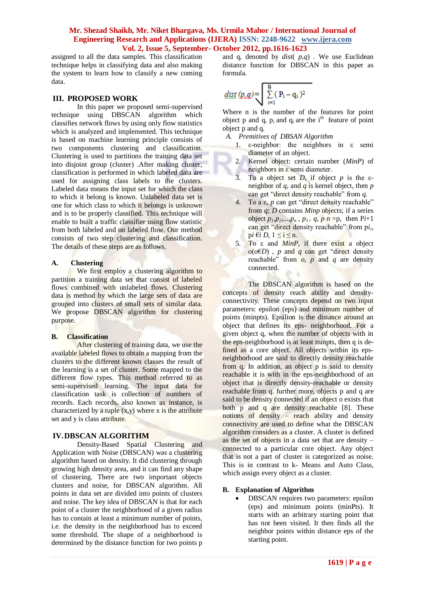assigned to all the data samples. This classification technique helps in classifying data and also making the system to learn how to classify a new coming data.

## **III. PROPOSED WORK**

In this paper we proposed semi-supervised technique using DBSCAN algorithm which classifies network flows by using only flow statistics which is analyzed and implemented. This technique is based on machine learning principle consists of two components clustering and classification. Clustering is used to partitions the training data set into disjoint group (cluster) .After making cluster, classification is performed in which labeled data are used for assigning class labels to the clusters. Labeled data means the input set for which the class to which it belong is known. Unlabeled data set is one for which class to which it belongs is unknown and is to be properly classified. This technique will enable to built a traffic classifier using flow statistic from both labeled and un labeled flow. Our method consists of two step clustering and classification. The details of these steps are as follows.

## **A. Clustering**

We first employ a clustering algorithm to partition a training data set that consist of labeled flows combined with unlabeled flows. Clustering data is method by which the large sets of data are grouped into clusters of small sets of similar data. We propose DBSCAN algorithm for clustering purpose.

## **B. Classification**

After clustering of training data, we use the available labeled flows to obtain a mapping from the clusters to the different known classes the result of the learning is a set of cluster. Some mapped to the different flow types. This method referred to as semi-supervised learning. The input data for classification task is collection of numbers of records. Each records, also known as instance, is characterized by a tuple  $(x,y)$  where x is the attribute set and y is class attribute.

## **IV.DBSCAN ALGORITHM**

Density-Based Spatial Clustering and Application with Noise (DBSCAN) was a clustering algorithm based on density. It did clustering through growing high density area, and it can find any shape of clustering. There are two important objects clusters and noise, for DBSCAN algorithm. All points in data set are divided into points of clusters and noise. The key idea of DBSCAN is that for each point of a cluster the neighborhood of a given radius has to contain at least a minimum number of points, i.e. the density in the neighborhood has to exceed some threshold. The shape of a neighborhood is determined by the distance function for two points p and q, denoted by *dist*( *p,q*) . We use Euclidean distance function for DBSCAN in this paper as formula.

$$
\text{dist}\left(p_{\text{r}}q\right) = \sqrt{\sum_{i=1}^{n} (|P_i - q_i|^2)}
$$

Where n is the number of the features for point object p and q,  $p_i$  and  $q_i$  are the i<sup>th</sup> feature of point object p and q.

- *A. Premitives of DBSAN Algorithm*
	- 1. ε-neighbor: the neighbors in ε semi diameter of an object.
	- 2. Kernel object: certain number (*MinP*) of neighbors in ε semi diameter.
	- 3. To a object set *D*, if object *p* is the εneighbor of *q*, and *q* is kernel object, then *p*  can get "direct density reachable" from *q*.
	- 4. To a ε, *p* can get "direct density reachable" from *q*; *D* contains *Minp* objects; if a series object  $p_1, p_2, ..., p_n$ ,  $p_1 = q$ ,  $p \neq n = p$ , then P*i*+1 can get "direct density reachable" from p*i,,*  p*i*  $\epsilon i$  *D*,  $1 \le i \le n$ .
	- 5. To ε and *MinP*, if there exist a object  $o(o \in D)$ , *p* and *q* can get "direct density" reachable" from *o*, *p* and *q* are density connected.

The DBSCAN algorithm is based on the concepts of density reach ability and densityconnectivity. These concepts depend on two input parameters: epsilon (eps) and minimum number of points (minpts). Epsilion is the distance around an object that defines its eps- neighborhood. For a given object q, when the number of objects with in the eps-neighborhood is at least minpts, then q is defined as a core object. All objects within its epsneighborhood are said to directly density reachable from q. In addition, an object p is said to density reachable it is with in the eps-neighborhood of an object that is directly density-reachable or density reachable from q. further more, objects p and q are said to be density connected if an object o exists that both p and q are density reachable [8]. These notions of density – reach ability and density connectivity are used to define what the DBSCAN algorithm considers as a cluster. A cluster is defined as the set of objects in a data set that are density – connected to a particular core object. Any object that is not a part of cluster is categorized as noise. This is in contrast to k- Means and Auto Class, which assign every object as a cluster.

## **B. Explanation of Algorithm**

 DBSCAN requires two parameters: epsilon (eps) and minimum points (minPts). It starts with an arbitrary starting point that has not been visited. It then finds all the neighbor points within distance eps of the starting point.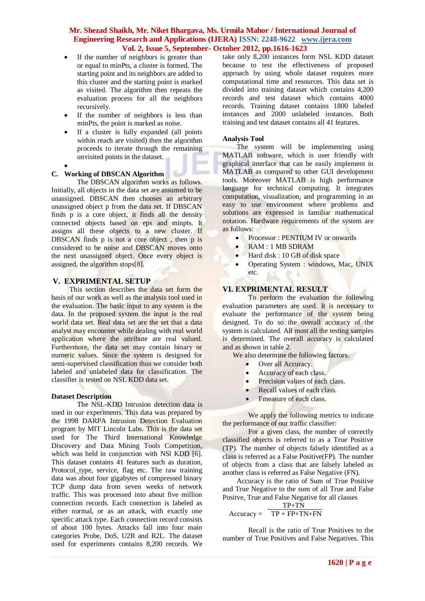- If the number of neighbors is greater than or equal to minPts, a cluster is formed. The starting point and its neighbors are added to this cluster and the starting point is marked as visited. The algorithm then repeats the evaluation process for all the neighbors recursively.
- If the number of neighbors is less than minPts, the point is marked as noise.
- If a cluster is fully expanded (all points within reach are visited) then the algorithm proceeds to iterate through the remaining unvisited points in the dataset.
- $\bullet$

## **C. Working of DBSCAN Algorithm**

The DBSCAN algorithm works as follows. Initially, all objects in the data set are assumed to be unassigned. DBSCAN then chooses an arbitrary unassigned object p from the data set. If DBSCAN finds p is a core object, it finds all the density connected objects based on eps and minpts. It assigns all these objects to a new cluster. If DBSCAN finds p is not a core object, then p is considered to be noise and DBSCAN moves onto the next unassigned object. Once every object is assigned, the algorithm stops[8].

## **V. EXPRIMENTAL SETUP**

This section describes the data set form the basis of our work as well as the analysis tool used in the evaluation. The basic input to any system is the data. In the proposed system the input is the real world data set. Real data set are the set that a data analyst may encounter while dealing with real world application where the attribute are real valued. Furthermore, the data set may contain binary or numeric values. Since the system is designed for semi-supervised classification thus we consider both labeled and unlabeled data for classification. The classifier is tested on NSL KDD data set.

#### **Dataset Description**

The NSL-KDD Intrusion detection data is used in our experiments. This data was prepared by the 1998 DARPA Intrusion Detection Evaluation program by MIT Lincoln Labs. This is the data set used for The Third International Knowledge Discovery and Data Mining Tools Competition, which was held in conjunction with NSI KDD [6]. This dataset contains 41 features such as duration, Protocol\_type, service, flag etc. The raw training data was about four gigabytes of compressed binary TCP dump data from seven weeks of network traffic. This was processed into about five million connection records. Each connection is labeled as either normal, or as an attack, with exactly one specific attack type. Each connection record consists of about 100 bytes. Attacks fall into four main categories Probe, DoS, U2R and R2L. The dataset used for experiments contains 8,200 records. We take only 8,200 instances form NSL KDD dataset because to test the effectiveness of proposed approach by using whole dataset requires more computational time and resources. This data set is divided into training dataset which contains 4,200 records and test dataset which contains 4000 records. Training dataset contains 1800 labeled instances and 2000 unlabeled instances. Both training and test dataset contains all 41 features.

## **Analysis Tool**

The system will be implementing using MATLAB software, which is user friendly with graphical interface that can be easily implement in MATLAB as compared to other GUI development tools. Moreover MATLAB is high performance language for technical computing. It integrates computation, visualization, and programming in an easy to use environment where problems and solutions are expressed in familiar mathematical notation. Hardware requirements of the system are as follows:

- Processor : PENTIUM IV or onwards
- RAM : 1 MB SDRAM
- $\bullet$  Hard disk : 10 GB of disk space
- Operating System : windows, Mac, UNIX etc.

## **VI. EXPRIMENTAL RESULT**

To perform the evaluation the following evaluation parameters are used. It is necessary to evaluate the performance of the system being designed. To do so the overall accuracy of the system is calculated. All most all the testing samples is determined. The overall accuracy is calculated and as shown in table 2.

We also determine the following factors.

- Over all Accuracy.
- Accuracy of each class.
- Precision values of each class.
- Recall values of each class.
- Fmeasure of each class.

We apply the following metrics to indicate the performance of our traffic classifier:

For a given class, the number of correctly classified objects is referred to as a True Positive (TP). The number of objects falsely identified as a class is referred as a False Positive(FP). The number of objects from a class that are falsely labeled as another class is referred as False Negative (FN).

 Accuracy is the ratio of Sum of True Positive and True Negative to the sum of all True and False Positve, True and False Negative for all classes

$$
Accuracy = \frac{TP + TN}{TP + FP + TN + FN}
$$

Recall is the ratio of True Positives to the number of True Positives and False Negatives. This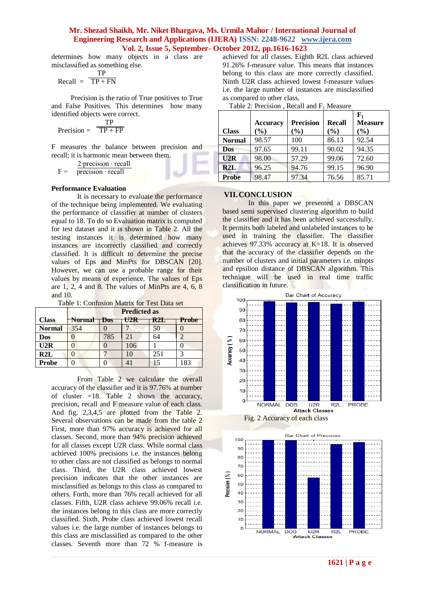determines how many objects in a class are misclassified as something else.

$$
Recall = \frac{TP}{TP + FN}
$$

Precision is the ratio of True positives to True and False Positives. This determines how many identified objects were correct.

$$
Precision = \frac{TP}{TP + FP}
$$

F measures the balance between precision and recall; it is harmonic mean between them.

$$
F = \frac{2 \cdot precision \cdot recall}{precision \cdot recall}
$$

#### **Performance Evaluation**

It is necessary to evaluate the performance of the technique being implemented. We evaluating the performance of classifier at number of clusters equal to 18. To do so Evaluation matrix is computed for test dataset and it is shown in Table 2. All the testing instances it is determined how many instances are incorrectly classified and correctly classified. It is difficult to determine the precise values of Eps and MinPts for DBSCAN [20]. However, we can use a probable range for their values by means of experience. The values of Eps are 1, 2, 4 and 8. The values of MinPts are 4, 6, 8 and 10.

|               | <b>Predicted as</b> |            |                  |                  |       |  |
|---------------|---------------------|------------|------------------|------------------|-------|--|
| <b>Class</b>  | <b>Normal</b>       | <b>Dos</b> | $H\rightarrow P$ | R <sub>2</sub> H | Probe |  |
| <b>Normal</b> | 354                 |            |                  | 50               |       |  |
| Dos           |                     | 785        | 21               | 64               |       |  |
| U2R           |                     |            | 106              |                  |       |  |
| R2L           |                     |            | 10               | 251              |       |  |
| <b>Probe</b>  |                     |            |                  | 15               | 183   |  |

From Table 2 we calculate the overall accuracy of the classifier and it is 97.76% at number of cluster  $=18$ . Table 2 shows the accuracy, precision, recall and F measure value of each class. And fig. 2,3,4,5 are plotted from the Table 2. Several observations can be made from the table 2 First, more than 97% accuracy is achieved for all classes. Second, more than 94% precision achieved for all classes except U2R class. While normal class achieved 100% precisions i.e. the instances belong to other class are not classified as belongs to normal class. Third, the U2R class achieved lowest precision indicates that the other instances are misclassified as belongs to this class as compared to others. Forth, more than 76% recall achieved for all classes. Fifth, U2R class achieve 99.06% recall i.e. the instances belong to this class are more correctly classified. Sixth, Probe class achieved lowest recall values i.e. the large number of instances belongs to this class are misclassified as compared to the other classes. Seventh more than 72 % f-measure is achieved for all classes. Eighth R2L class achieved 91.26% f-measure value. This means that instances belong to this class are more correctly classified. Ninth U2R class achieved lowest f-measure values i.e. the large number of instances are misclassified as compared to other class.

|               | - WOIV - FILLWOID - OII   ILWWOID - WILLWID |                            |                      |                                      |
|---------------|---------------------------------------------|----------------------------|----------------------|--------------------------------------|
| <b>Class</b>  | <b>Accuracy</b><br>$(\%)$                   | <b>Precision</b><br>$(\%)$ | <b>Recall</b><br>(%) | ${\bf F_1}$<br><b>Measure</b><br>(%) |
| <b>Normal</b> | 98.57                                       | 100                        | 86.13                | 92.54                                |
| <b>Dos</b>    | 97.65                                       | 99.11                      | 90.02                | 94.35                                |
| U2R           | 98.00                                       | 57.29                      | 99.06                | 72.60                                |
| R2L           | 96.25                                       | 94.76                      | 99.15                | 96.90                                |
| <b>Probe</b>  | 98.47                                       | 97.34                      | 76.56                | 85.71                                |

Table 2: Precision , Recall and  $F_1$  Measure

#### **VII.CONCLUSION**

In this paper we presented a DBSCAN based semi supervised clustering algorithm to build the classifier and it has been achieved successfully. It permits both labeled and unlabeled instances to be used in training the classifier. The classifier achieves 97.33% accuracy at K=18. It is observed that the accuracy of the classifier depends on the number of clusters and initial parameters i.e. minpts and epsilion distance of DBSCAN algorithm. This technique will be used in real time traffic classification in future.





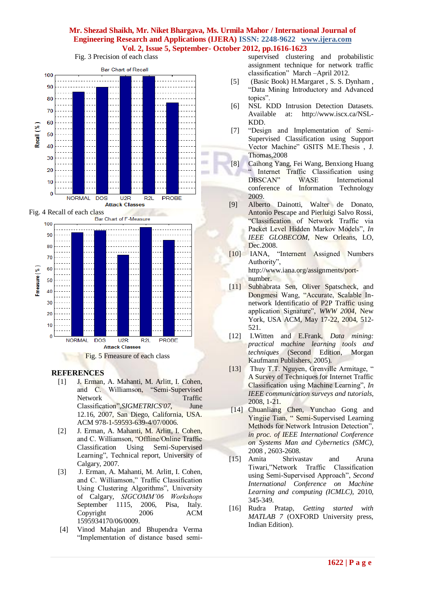

Fig. 3 Precision of each class



## **REFERENCES**

- [1] J. Erman, A. Mahanti, M. Arlitt, I. Cohen, and C. Williamson, "Semi-Supervised Network Traffic Classification",*SIGMETRICS'07,* June 12.16, 2007, San Diego, California, USA. ACM 978-1-59593-639-4/07/0006.
- [2] J. Erman, A. Mahanti, M. Arlitt, I. Cohen, and C. Williamson, "Offline/Online Traffic Classification Using Semi-Supervised Learning", Technical report, University of Calgary, 2007.
- [3] J. Erman, A. Mahanti, M. Arlitt, I. Cohen, and C. Williamson," Traffic Classification Using Clustering Algorithms", University of Calgary, *SIGCOMM'06 Workshops*  September 1115, 2006, Pisa, Italy. Copyright 2006 ACM 1595934170/06/0009.
- [4] Vinod Mahajan and Bhupendra Verma "Implementation of distance based semi-

supervised clustering and probabilistic assignment technique for network traffic classification" March –April 2012.

- [5] (Basic Book) H.Margaret , S. S. Dynham , "Data Mining Introductory and Advanced topics".
- [6] NSL KDD Intrusion Detection Datasets. Available at: [http://www.iscx.ca/NSL-](http://www.iscx.ca/NSL-KDD)[KDD.](http://www.iscx.ca/NSL-KDD)
- [7] "Design and Implementation of Semi-Supervised Classification using Support Vector Machine" GSITS M.E.Thesis , J. Thomas,2008
- [8] Caihong Yang, Fei Wang, Benxiong Huang Internet Traffic Classification using DBSCAN" WASE Internetional conference of Information Technology 2009.
- [9] Alberto Dainotti, Walter de Donato, Antonio Pescape and Pierluigi Salvo Rossi, "Classification of Network Traffic via Packet Level Hidden Markov Models", *In IEEE GLOBECOM*, New Orleans, LO, Dec.2008.
- [10] IANA, "Internent Assigned Numbers Authority", http://www.iana.org/assignments/portnumber.
- [11] Subhabrata Sen, Oliver Spatscheck, and Dongmesi Wang, "Accurate, Scalable Innetwork Identificatio of P2P Traffic using application Signature", *WWW 2004*, New York, USA ACM, May 17-22, 2004, 512- 521.
- [12] I.Witten and E.Frank, *Data mining: practical machine learning tools and techniques* (Second Edition, Morgan Kaufmann Publishers, 2005).
- [13] Thuy T.T. Nguyen, Grenville Armitage, " A Survey of Techniques for Internet Traffic Classification using Machine Learning", *In IEEE communication surveys and tutorials*, 2008, 1-21.
- [14] Chuanliang Chen, Yunchao Gong and Yingjie Tian, " Semi-Supervised Learning Methods for Network Intrusion Detection", *in proc. of IEEE International Conference on Systems Man and Cybernetics (SMC)*, 2008 , 2603-2608.
- [15] Amita Shrivastav and Aruna Tiwari,"Network Traffic Classification using Semi-Supervised Approach", *Second International Conference on Machine Learning and computing (ICMLC)*, 2010, 345-349.
- [16] Rudra Pratap, *Getting started with MATLAB 7* (OXFORD University press, Indian Edition).